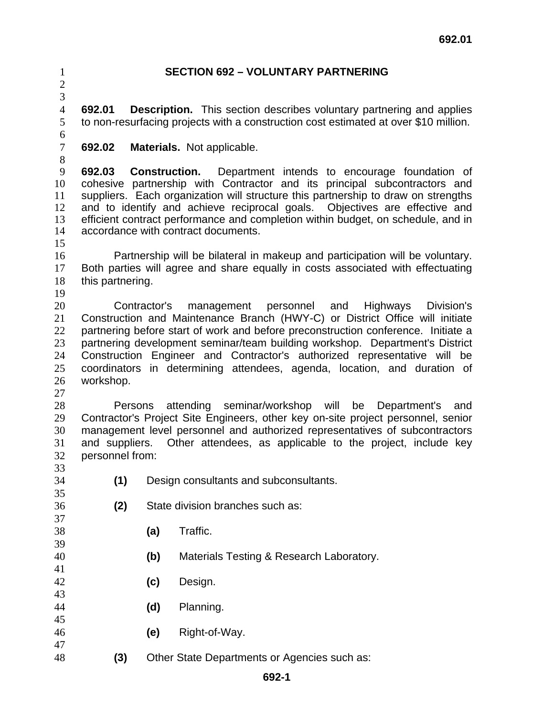## **SECTION 692 – VOLUNTARY PARTNERING**

 

**692.01 Description.** This section describes voluntary partnering and applies to non-resurfacing projects with a construction cost estimated at over \$10 million.

**692.02 Materials.** Not applicable.

**692.03 Construction.** Department intends to encourage foundation of cohesive partnership with Contractor and its principal subcontractors and suppliers. Each organization will structure this partnership to draw on strengths and to identify and achieve reciprocal goals. Objectives are effective and efficient contract performance and completion within budget, on schedule, and in accordance with contract documents.

Partnership will be bilateral in makeup and participation will be voluntary. Both parties will agree and share equally in costs associated with effectuating this partnering.

Contractor's management personnel and Highways Division's Construction and Maintenance Branch (HWY-C) or District Office will initiate partnering before start of work and before preconstruction conference. Initiate a partnering development seminar/team building workshop. Department's District Construction Engineer and Contractor's authorized representative will be coordinators in determining attendees, agenda, location, and duration of workshop.

Persons attending seminar/workshop will be Department's and Contractor's Project Site Engineers, other key on-site project personnel, senior management level personnel and authorized representatives of subcontractors and suppliers. Other attendees, as applicable to the project, include key personnel from: 

- **(1)** Design consultants and subconsultants.
- **(2)** State division branches such as:
- **(a)** Traffic.
- **(b)** Materials Testing & Research Laboratory.
- **(c)** Design.
- **(d)** Planning.
- **(e)** Right-of-Way.
- **(3)** Other State Departments or Agencies such as: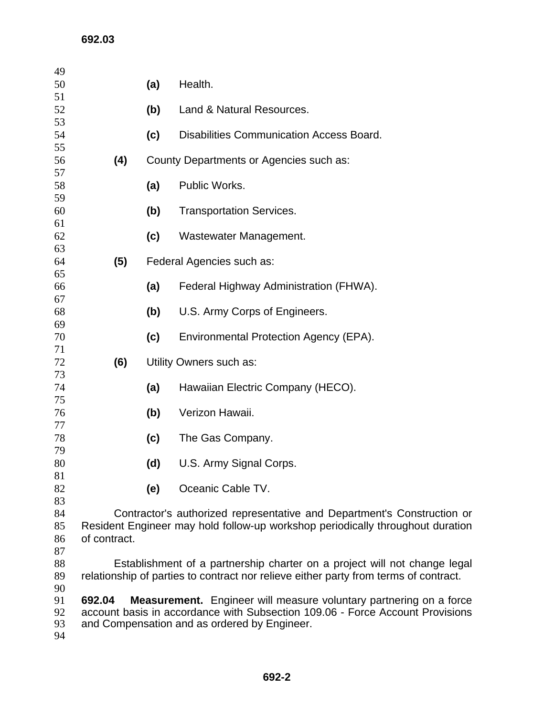| 49<br>50                   |                                                                                                                                                                                                                      | (a)                     | Health.                                         |
|----------------------------|----------------------------------------------------------------------------------------------------------------------------------------------------------------------------------------------------------------------|-------------------------|-------------------------------------------------|
| 51<br>52                   |                                                                                                                                                                                                                      | (b)                     | Land & Natural Resources.                       |
| 53<br>54<br>55             |                                                                                                                                                                                                                      | (c)                     | <b>Disabilities Communication Access Board.</b> |
| 56                         | (4)<br>County Departments or Agencies such as:                                                                                                                                                                       |                         |                                                 |
| 57<br>58<br>59             |                                                                                                                                                                                                                      | (a)                     | Public Works.                                   |
| 60                         |                                                                                                                                                                                                                      | (b)                     | <b>Transportation Services.</b>                 |
| 61<br>62                   |                                                                                                                                                                                                                      | (c)                     | Wastewater Management.                          |
| 63<br>64                   | (5)<br>Federal Agencies such as:                                                                                                                                                                                     |                         |                                                 |
| 65<br>66                   |                                                                                                                                                                                                                      | (a)                     | Federal Highway Administration (FHWA).          |
| 67<br>68                   |                                                                                                                                                                                                                      | (b)                     | U.S. Army Corps of Engineers.                   |
| 69<br>70                   |                                                                                                                                                                                                                      | (c)                     | Environmental Protection Agency (EPA).          |
| 71<br>72                   | (6)                                                                                                                                                                                                                  | Utility Owners such as: |                                                 |
| 73<br>74                   |                                                                                                                                                                                                                      | (a)                     | Hawaiian Electric Company (HECO).               |
| 75<br>76                   |                                                                                                                                                                                                                      | (b)                     | Verizon Hawaii.                                 |
| 77<br>78                   |                                                                                                                                                                                                                      | (c)                     | The Gas Company.                                |
| 79<br>80                   |                                                                                                                                                                                                                      | (d)                     | U.S. Army Signal Corps.                         |
| 81<br>82                   |                                                                                                                                                                                                                      | (e)                     | Oceanic Cable TV.                               |
| 83<br>84                   | Contractor's authorized representative and Department's Construction or                                                                                                                                              |                         |                                                 |
| 85<br>86<br>87             | Resident Engineer may hold follow-up workshop periodically throughout duration<br>of contract.                                                                                                                       |                         |                                                 |
| 88<br>89                   | Establishment of a partnership charter on a project will not change legal<br>relationship of parties to contract nor relieve either party from terms of contract.                                                    |                         |                                                 |
| 90<br>91<br>92<br>93<br>94 | <b>Measurement.</b> Engineer will measure voluntary partnering on a force<br>692.04<br>account basis in accordance with Subsection 109.06 - Force Account Provisions<br>and Compensation and as ordered by Engineer. |                         |                                                 |